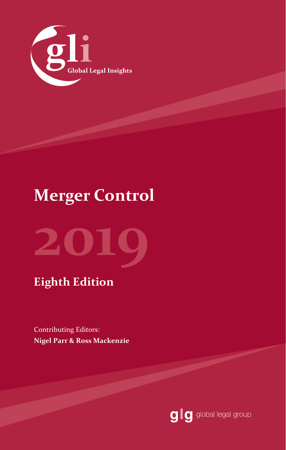

## **Merger Control**



### **Eighth Edition**

Contributing Editors: **Nigel Parr & Ross Mackenzie**

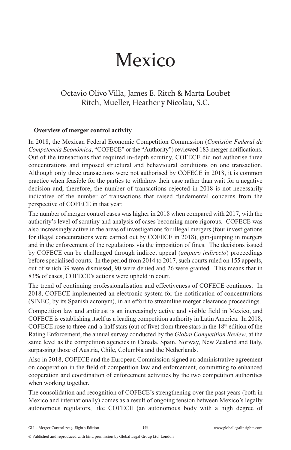# Mexico

### Octavio Olivo Villa, James E. Ritch & Marta Loubet  Ritch, Mueller, Heather y Nicolau, S.C.

#### **Overview of merger control activity**

In 2018, the Mexican Federal Economic Competition Commission (*Comisión Federal de Competencia Económica*, "COFECE" or the "Authority") reviewed 183 merger notifications. Out of the transactions that required in-depth scrutiny, COFECE did not authorise three concentrations and imposed structural and behavioural conditions on one transaction. Although only three transactions were not authorised by COFECE in 2018, it is common practice when feasible for the parties to withdraw their case rather than wait for a negative decision and, therefore, the number of transactions rejected in 2018 is not necessarily indicative of the number of transactions that raised fundamental concerns from the perspective of COFECE in that year.

The number of merger control cases was higher in 2018 when compared with 2017, with the authority's level of scrutiny and analysis of cases becoming more rigorous. COFECE was also increasingly active in the areas of investigations for illegal mergers (four investigations for illegal concentrations were carried out by COFECE in 2018), gun-jumping in mergers and in the enforcement of the regulations via the imposition of fines. The decisions issued by COFECE can be challenged through indirect appeal (*amparo indirecto*) proceedings before specialised courts. In the period from 2014 to 2017, such courts ruled on 155 appeals, out of which 39 were dismissed, 90 were denied and 26 were granted. This means that in 83% of cases, COFECE's actions were upheld in court.

The trend of continuing professionalisation and effectiveness of COFECE continues. In 2018, COFECE implemented an electronic system for the notification of concentrations (SINEC, by its Spanish acronym), in an effort to streamline merger clearance proceedings.

Competition law and antitrust is an increasingly active and visible field in Mexico, and COFECE is establishing itself as a leading competition authority in Latin America. In 2018, COFECE rose to three-and-a-half stars (out of five) from three stars in the  $18<sup>th</sup>$  edition of the Rating Enforcement, the annual survey conducted by the *Global Competition Review*, at the same level as the competition agencies in Canada, Spain, Norway, New Zealand and Italy, surpassing those of Austria, Chile, Columbia and the Netherlands.

Also in 2018, COFECE and the European Commission signed an administrative agreement on cooperation in the field of competition law and enforcement, committing to enhanced cooperation and coordination of enforcement activities by the two competition authorities when working together.

The consolidation and recognition of COFECE's strengthening over the past years (both in Mexico and internationally) comes as a result of ongoing tension between Mexico's legally autonomous regulators, like COFECE (an autonomous body with a high degree of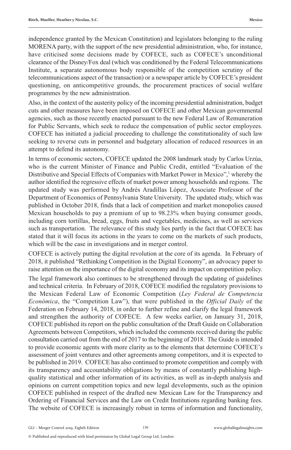independence granted by the Mexican Constitution) and legislators belonging to the ruling MORENA party, with the support of the new presidential administration, who, for instance, have criticised some decisions made by COFECE, such as COFECE's unconditional clearance of the Disney/Fox deal (which was conditioned by the Federal Telecommunications Institute, a separate autonomous body responsible of the competition scrutiny of the telecommunications aspect of the transaction) or a newspaper article by COFECE's president questioning, on anticompetitive grounds, the procurement practices of social welfare programmes by the new administration.

Also, in the context of the austerity policy of the incoming presidential administration, budget cuts and other measures have been imposed on COFECE and other Mexican governmental agencies, such as those recently enacted pursuant to the new Federal Law of Remuneration for Public Servants, which seek to reduce the compensation of public sector employees. COFECE has initiated a judicial proceeding to challenge the constitutionality of such law seeking to reverse cuts in personnel and budgetary allocation of reduced resources in an attempt to defend its autonomy.

In terms of economic sectors, COFECE updated the 2008 landmark study by Carlos Urzúa, who is the current Minister of Finance and Public Credit, entitled "Evaluation of the Distributive and Special Effects of Companies with Market Power in Mexico",<sup>1</sup> whereby the author identified the regressive effects of market power among households and regions. The updated study was performed by Andrés Aradillas López, Associate Professor of the Department of Economics of Pennsylvania State University. The updated study, which was published in October 2018, finds that a lack of competition and market monopolies caused Mexican households to pay a premium of up to 98.23% when buying consumer goods, including corn tortillas, bread, eggs, fruits and vegetables, medicines, as well as services such as transportation. The relevance of this study lies partly in the fact that COFECE has stated that it will focus its actions in the years to come on the markets of such products, which will be the case in investigations and in merger control.

COFECE is actively putting the digital revolution at the core of its agenda. In February of 2018, it published "Rethinking Competition in the Digital Economy", an advocacy paper to raise attention on the importance of the digital economy and its impact on competition policy.

The legal framework also continues to be strengthened through the updating of guidelines and technical criteria. In February of 2018, COFECE modified the regulatory provisions to the Mexican Federal Law of Economic Competition (*Ley Federal de Competencia Económica*, the "Competition Law"), that were published in the *Official Daily* of the Federation on February 14, 2018, in order to further refine and clarify the legal framework and strengthen the authority of COFECE. A few weeks earlier, on January 31, 2018, COFECE published its report on the public consultation of the Draft Guide on Collaboration Agreements between Competitors, which included the comments received during the public consultation carried out from the end of 2017 to the beginning of 2018. The Guide is intended to provide economic agents with more clarity as to the elements that determine COFECE's assessment of joint ventures and other agreements among competitors, and it is expected to be published in 2019. COFECE has also continued to promote competition and comply with its transparency and accountability obligations by means of constantly publishing highquality statistical and other information of its activities, as well as in-depth analysis and opinions on current competition topics and new legal developments, such as the opinion COFECE published in respect of the drafted new Mexican Law for the Transparency and Ordering of Financial Services and the Law on Credit Institutions regarding banking fees. The website of COFECE is increasingly robust in terms of information and functionality,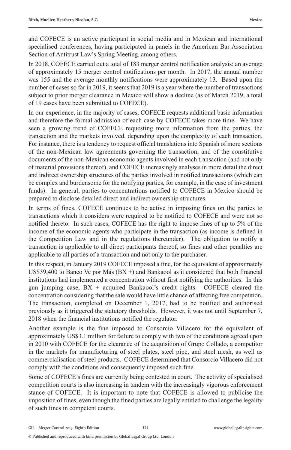and COFECE is an active participant in social media and in Mexican and international specialised conferences, having participated in panels in the American Bar Association Section of Antitrust Law's Spring Meeting, among others.

In 2018, COFECE carried out a total of 183 merger control notification analysis; an average of approximately 15 merger control notifications per month. In 2017, the annual number was 155 and the average monthly notifications were approximately 13. Based upon the number of cases so far in 2019, it seems that 2019 is a year where the number of transactions subject to prior merger clearance in Mexico will show a decline (as of March 2019, a total of 19 cases have been submitted to COFECE).

In our experience, in the majority of cases, COFECE requests additional basic information and therefore the formal admission of each case by COFECE takes more time. We have seen a growing trend of COFECE requesting more information from the parties, the transaction and the markets involved, depending upon the complexity of each transaction. For instance, there is a tendency to request official translations into Spanish of more sections of the non-Mexican law agreements governing the transaction, and of the constitutive documents of the non-Mexican economic agents involved in each transaction (and not only of material provisions thereof), and COFECE increasingly analyses in more detail the direct and indirect ownership structures of the parties involved in notified transactions (which can be complex and burdensome for the notifying parties, for example, in the case of investment funds). In general, parties to concentrations notified to COFECE in Mexico should be prepared to disclose detailed direct and indirect ownership structures.

In terms of fines, COFECE continues to be active in imposing fines on the parties to transactions which it considers were required to be notified to COFECE and were not so notified thereto. In such cases, COFECE has the right to impose fines of up to 5% of the income of the economic agents who participate in the transaction (as income is defined in the Competition Law and in the regulations thereunder). The obligation to notify a transaction is applicable to all direct participants thereof, so fines and other penalties are applicable to all parties of a transaction and not only to the purchaser.

In this respect, in January 2019 COFECE imposed a fine, for the equivalent of approximately US\$39,400 to Banco Ve por Más  $(BX +)$  and Bankaool as it considered that both financial institutions had implemented a concentration without first notifying the authorities. In this gun jumping case, BX + acquired Bankaool's credit rights. COFECE cleared the concentration considering that the sale would have little chance of affecting free competition. The transaction, completed on December 1, 2017, had to be notified and authorised previously as it triggered the statutory thresholds. However, it was not until September 7, 2018 when the financial institutions notified the regulator.

Another example is the fine imposed to Consorcio Villacero for the equivalent of approximately US\$3.1 million for failure to comply with two of the conditions agreed upon in 2010 with COFECE for the clearance of the acquisition of Grupo Collado, a competitor in the markets for manufacturing of steel plates, steel pipe, and steel mesh, as well as commercialisation of steel products. COFECE determined that Consorcio Villacero did not comply with the conditions and consequently imposed such fine.

Some of COFECE's fines are currently being contested in court. The activity of specialised competition courts is also increasing in tandem with the increasingly vigorous enforcement stance of COFECE. It is important to note that COFECE is allowed to publicise the imposition of fines, even though the fined parties are legally entitled to challenge the legality of such fines in competent courts.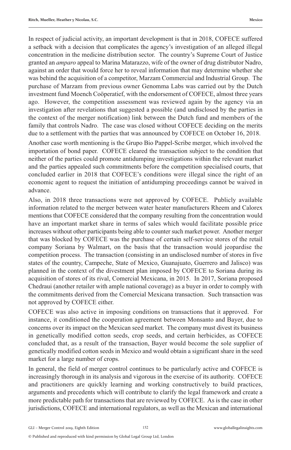In respect of judicial activity, an important development is that in 2018, COFECE suffered a setback with a decision that complicates the agency's investigation of an alleged illegal concentration in the medicine distribution sector. The country's Supreme Court of Justice granted an *amparo* appeal to Marina Matarazzo, wife of the owner of drug distributor Nadro, against an order that would force her to reveal information that may determine whether she was behind the acquisition of a competitor, Marzam Commercial and Industrial Group. The purchase of Marzam from previous owner Genomma Labs was carried out by the Dutch investment fund Moench Coöperatief, with the endorsement of COFECE, almost three years ago. However, the competition assessment was reviewed again by the agency via an investigation after revelations that suggested a possible (and undisclosed by the parties in the context of the merger notification) link between the Dutch fund and members of the family that controls Nadro. The case was closed without COFECE deciding on the merits due to a settlement with the parties that was announced by COFECE on October 16, 2018.

Another case worth mentioning is the Grupo Bio Pappel-Scribe merger, which involved the importation of bond paper. COFECE cleared the transaction subject to the condition that neither of the parties could promote antidumping investigations within the relevant market and the parties appealed such commitments before the competition specialised courts, that concluded earlier in 2018 that COFECE's conditions were illegal since the right of an economic agent to request the initiation of antidumping proceedings cannot be waived in advance.

Also, in 2018 three transactions were not approved by COFECE. Publicly available information related to the merger between water heater manufacturers Rheem and Calorex mentions that COFECE considered that the company resulting from the concentration would have an important market share in terms of sales which would facilitate possible price increases without other participants being able to counter such market power. Another merger that was blocked by COFECE was the purchase of certain self-service stores of the retail company Soriana by Walmart, on the basis that the transaction would jeopardise the competition process. The transaction (consisting in an undisclosed number of stores in five states of the country, Campeche, State of Mexico, Guanajuato, Guerrero and Jalisco) was planned in the context of the divestment plan imposed by COFECE to Soriana during its acquisition of stores of its rival, Comercial Mexicana, in 2015. In 2017, Soriana proposed Chedraui (another retailer with ample national coverage) as a buyer in order to comply with the commitments derived from the Comercial Mexicana transaction. Such transaction was not approved by COFECE either.

COFECE was also active in imposing conditions on transactions that it approved. For instance, it conditioned the cooperation agreement between Monsanto and Bayer, due to concerns over its impact on the Mexican seed market. The company must divest its business in genetically modified cotton seeds, crop seeds, and certain herbicides, as COFECE concluded that, as a result of the transaction, Bayer would become the sole supplier of genetically modified cotton seeds in Mexico and would obtain a significant share in the seed market for a large number of crops.

In general, the field of merger control continues to be particularly active and COFECE is increasingly thorough in its analysis and vigorous in the exercise of its authority. COFECE and practitioners are quickly learning and working constructively to build practices, arguments and precedents which will contribute to clarify the legal framework and create a more predictable path for transactions that are reviewed by COFECE. As is the case in other jurisdictions, COFECE and international regulators, as well as the Mexican and international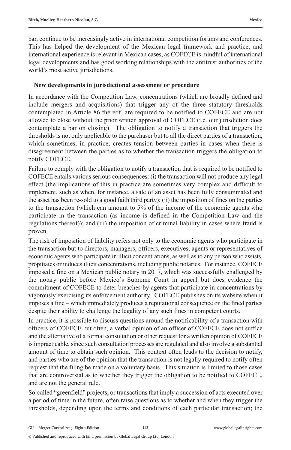bar, continue to be increasingly active in international competition forums and conferences. This has helped the development of the Mexican legal framework and practice, and international experience is relevant in Mexican cases, as COFECE is mindful of international legal developments and has good working relationships with the antitrust authorities of the world's most active jurisdictions.

#### **New developments in jurisdictional assessment or procedure**

In accordance with the Competition Law, concentrations (which are broadly defined and include mergers and acquisitions) that trigger any of the three statutory thresholds contemplated in Article 86 thereof, are required to be notified to COFECE and are not allowed to close without the prior written approval of COFECE (i.e. our jurisdiction does contemplate a bar on closing). The obligation to notify a transaction that triggers the thresholds is not only applicable to the purchaser but to all the direct parties of a transaction, which sometimes, in practice, creates tension between parties in cases when there is disagreement between the parties as to whether the transaction triggers the obligation to notify COFECE.

Failure to comply with the obligation to notify a transaction that is required to be notified to COFECE entails various serious consequences: (i) the transaction will not produce any legal effect (the implications of this in practice are sometimes very complex and difficult to implement, such as when, for instance, a sale of an asset has been fully consummated and the asset has been re-sold to a good faith third party); (ii) the imposition of fines on the parties to the transaction (which can amount to 5% of the income of the economic agents who participate in the transaction (as income is defined in the Competition Law and the regulations thereof)); and (iii) the imposition of criminal liability in cases where fraud is proven.

The risk of imposition of liability refers not only to the economic agents who participate in the transaction but to directors, managers, officers, executives, agents or representatives of economic agents who participate in illicit concentrations, as well as to any person who assists, propitiates or induces illicit concentrations, including public notaries. For instance, COFECE imposed a fine on a Mexican public notary in 2017, which was successfully challenged by the notary public before Mexico's Supreme Court in appeal but does evidence the commitment of COFECE to deter breaches by agents that participate in concentrations by vigorously exercising its enforcement authority. COFECE publishes on its website when it imposes a fine – which immediately produces a reputational consequence on the fined parties despite their ability to challenge the legality of any such fines in competent courts.

In practice, it is possible to discuss questions around the notificability of a transaction with officers of COFECE but often, a verbal opinion of an officer of COFECE does not suffice and the alternative of a formal consultation or other request for a written opinion of COFECE is impracticable, since such consultation processes are regulated and also involve a substantial amount of time to obtain such opinion. This context often leads to the decision to notify, and parties who are of the opinion that the transaction is not legally required to notify often request that the filing be made on a voluntary basis. This situation is limited to those cases that are controversial as to whether they trigger the obligation to be notified to COFECE, and are not the general rule.

So-called "greenfield" projects, or transactions that imply a succession of acts executed over a period of time in the future, often raise questions as to whether and when they trigger the thresholds, depending upon the terms and conditions of each particular transaction; the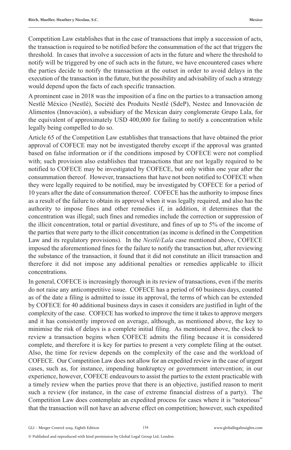Competition Law establishes that in the case of transactions that imply a succession of acts, the transaction is required to be notified before the consummation of the act that triggers the threshold. In cases that involve a succession of acts in the future and where the threshold to notify will be triggered by one of such acts in the future, we have encountered cases where the parties decide to notify the transaction at the outset in order to avoid delays in the execution of the transaction in the future, but the possibility and advisability of such a strategy would depend upon the facts of each specific transaction.

A prominent case in 2018 was the imposition of a fine on the parties to a transaction among Nestlé México (Nestlé), Société des Produits Nestlé (SdeP), Nestec and Innovación de Alimentos (Innovación), a subsidiary of the Mexican dairy conglomerate Grupo Lala, for the equivalent of approximately USD 400,000 for failing to notify a concentration while legally being compelled to do so.

Article 65 of the Competition Law establishes that transactions that have obtained the prior approval of COFECE may not be investigated thereby except if the approval was granted based on false information or if the conditions imposed by COFECE were not complied with; such provision also establishes that transactions that are not legally required to be notified to COFECE may be investigated by COFECE, but only within one year after the consummation thereof. However, transactions that have not been notified to COFECE when they were legally required to be notified, may be investigated by COFECE for a period of 10 years after the date of consummation thereof. COFECE has the authority to impose fines as a result of the failure to obtain its approval when it was legally required, and also has the authority to impose fines and other remedies if, in addition, it determines that the concentration was illegal; such fines and remedies include the correction or suppression of the illicit concentration, total or partial divestiture, and fines of up to 5% of the income of the parties that were party to the illicit concentration (as income is defined in the Competition Law and its regulatory provisions). In the *Nestlé/Lala* case mentioned above, COFECE imposed the aforementioned fines for the failure to notify the transaction but, after reviewing the substance of the transaction, it found that it did not constitute an illicit transaction and therefore it did not impose any additional penalties or remedies applicable to illicit concentrations.

In general, COFECE is increasingly thorough in its review of transactions, even if the merits do not raise any anticompetitive issue. COFECE has a period of 60 business days, counted as of the date a filing is admitted to issue its approval, the terms of which can be extended by COFECE for 40 additional business days in cases it considers are justified in light of the complexity of the case. COFECE has worked to improve the time it takes to approve mergers and it has consistently improved on average, although, as mentioned above, the key to minimise the risk of delays is a complete initial filing. As mentioned above, the clock to review a transaction begins when COFECE admits the filing because it is considered complete, and therefore it is key for parties to present a very complete filing at the outset. Also, the time for review depends on the complexity of the case and the workload of COFECE. Our Competition Law does not allow for an expedited review in the case of urgent cases, such as, for instance, impending bankruptcy or government intervention; in our experience, however, COFECE endeavours to assist the parties to the extent practicable with a timely review when the parties prove that there is an objective, justified reason to merit such a review (for instance, in the case of extreme financial distress of a party). The Competition Law does contemplate an expedited process for cases where it is "notorious" that the transaction will not have an adverse effect on competition; however, such expedited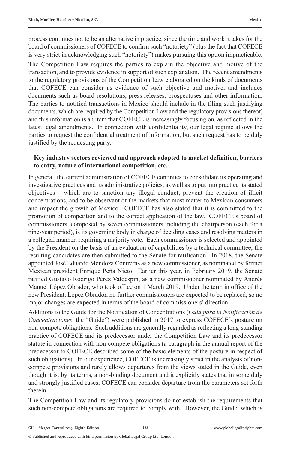process continues not to be an alternative in practice, since the time and work it takes for the board of commissioners of COFECE to confirm such "notoriety" (plus the fact that COFECE is very strict in acknowledging such "notoriety") makes pursuing this option impracticable.

The Competition Law requires the parties to explain the objective and motive of the transaction, and to provide evidence in support of such explanation. The recent amendments to the regulatory provisions of the Competition Law elaborated on the kinds of documents that COFECE can consider as evidence of such objective and motive, and includes documents such as board resolutions, press releases, prospectuses and other information. The parties to notified transactions in Mexico should include in the filing such justifying documents, which are required by the Competition Law and the regulatory provisions thereof, and this information is an item that COFECE is increasingly focusing on, as reflected in the latest legal amendments. In connection with confidentiality, our legal regime allows the parties to request the confidential treatment of information, but such request has to be duly justified by the requesting party.

#### **Key industry sectors reviewed and approach adopted to market definition, barriers to entry, nature of international competition, etc.**

In general, the current administration of COFECE continues to consolidate its operating and investigative practices and its administrative policies, as well as to put into practice its stated objectives – which are to sanction any illegal conduct, prevent the creation of illicit concentrations, and to be observant of the markets that most matter to Mexican consumers and impact the growth of Mexico. COFECE has also stated that it is committed to the promotion of competition and to the correct application of the law. COFECE's board of commissioners, composed by seven commissioners including the chairperson (each for a nine-year period), is its governing body in charge of deciding cases and resolving matters in a collegial manner, requiring a majority vote. Each commissioner is selected and appointed by the President on the basis of an evaluation of capabilities by a technical committee; the resulting candidates are then submitted to the Senate for ratification. In 2018, the Senate appointed José Eduardo Mendoza Contreras as a new commissioner, as nominated by former Mexican president Enrique Peña Nieto. Earlier this year, in February 2019, the Senate ratified Gustavo Rodrigo Pérez Valdespín, as a new commissioner nominated by Andrés Manuel López Obrador, who took office on 1 March 2019. Under the term in office of the new President, López Obrador, no further commissioners are expected to be replaced, so no major changes are expected in terms of the board of commissioners' direction.

Additions to the Guide for the Notification of Concentrations (*Guía para la Notificación de Concentraciones*, the "Guide") were published in 2017 to express COFECE's posture on non-compete obligations. Such additions are generally regarded as reflecting a long-standing practice of COFECE and its predecessor under the Competition Law and its predecessor statute in connection with non-compete obligations (a paragraph in the annual report of the predecessor to COFECE described some of the basic elements of the posture in respect of such obligations). In our experience, COFECE is increasingly strict in the analysis of noncompete provisions and rarely allows departures from the views stated in the Guide, even though it is, by its terms, a non-binding document and it explicitly states that in some duly and strongly justified cases, COFECE can consider departure from the parameters set forth therein.

The Competition Law and its regulatory provisions do not establish the requirements that such non-compete obligations are required to comply with. However, the Guide, which is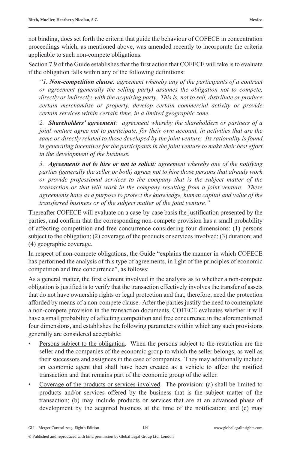not binding, does set forth the criteria that guide the behaviour of COFECE in concentration proceedings which, as mentioned above, was amended recently to incorporate the criteria applicable to such non-compete obligations.

Section 7.9 of the Guide establishes that the first action that COFECE will take is to evaluate if the obligation falls within any of the following definitions:

*"1. Non-competition clause: agreement whereby any of the participants of a contract or agreement (generally the selling party) assumes the obligation not to compete, directly or indirectly, with the acquiring party. This is, not to sell, distribute or produce certain merchandise or property, develop certain commercial activity or provide certain services within certain time, in a limited geographic zone.* 

*2. Shareholders' agreement: agreement whereby the shareholders or partners of a joint venture agree not to participate, for their own account, in activities that are the same or directly related to those developed by the joint venture. Its rationality is found in generating incentives for the participants in the joint venture to make their best effort in the development of the business.* 

*3. Agreements not to hire or not to solicit: agreement whereby one of the notifying parties (generally the seller or both) agrees not to hire those persons that already work or provide professional services to the company that is the subject matter of the transaction or that will work in the company resulting from a joint venture. These agreements have as a purpose to protect the knowledge, human capital and value of the transferred business or of the subject matter of the joint venture."*

Thereafter COFECE will evaluate on a case-by-case basis the justification presented by the parties, and confirm that the corresponding non-compete provision has a small probability of affecting competition and free concurrence considering four dimensions: (1) persons subject to the obligation; (2) coverage of the products or services involved; (3) duration; and (4) geographic coverage.

In respect of non-compete obligations, the Guide "explains the manner in which COFECE has performed the analysis of this type of agreements, in light of the principles of economic competition and free concurrence", as follows:

As a general matter, the first element involved in the analysis as to whether a non-compete obligation is justified is to verify that the transaction effectively involves the transfer of assets that do not have ownership rights or legal protection and that, therefore, need the protection afforded by means of a non-compete clause. After the parties justify the need to contemplate a non-compete provision in the transaction documents, COFECE evaluates whether it will have a small probability of affecting competition and free concurrence in the aforementioned four dimensions, and establishes the following parameters within which any such provisions generally are considered acceptable:

- Persons subject to the obligation. When the persons subject to the restriction are the seller and the companies of the economic group to which the seller belongs, as well as their successors and assignees in the case of companies. They may additionally include an economic agent that shall have been created as a vehicle to affect the notified transaction and that remains part of the economic group of the seller.
- Coverage of the products or services involved. The provision: (a) shall be limited to products and/or services offered by the business that is the subject matter of the transaction; (b) may include products or services that are at an advanced phase of development by the acquired business at the time of the notification; and (c) may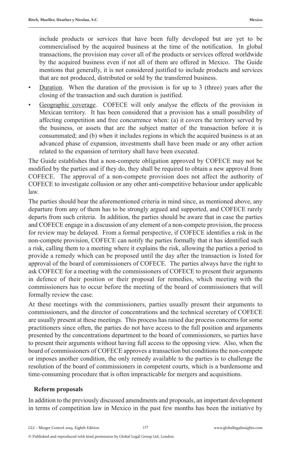include products or services that have been fully developed but are yet to be commercialised by the acquired business at the time of the notification. In global transactions, the provision may cover all of the products or services offered worldwide by the acquired business even if not all of them are offered in Mexico. The Guide mentions that generally, it is not considered justified to include products and services that are not produced, distributed or sold by the transferred business.

- Duration. When the duration of the provision is for up to 3 (three) years after the closing of the transaction and such duration is justified.
- Geographic coverage. COFECE will only analyse the effects of the provision in Mexican territory. It has been considered that a provision has a small possibility of affecting competition and free concurrence when: (a) it covers the territory served by the business, or assets that are the subject matter of the transaction before it is consummated; and (b) when it includes regions in which the acquired business is at an advanced phase of expansion, investments shall have been made or any other action related to the expansion of territory shall have been executed.

The Guide establishes that a non-compete obligation approved by COFECE may not be modified by the parties and if they do, they shall be required to obtain a new approval from COFECE. The approval of a non-compete provision does not affect the authority of COFECE to investigate collusion or any other anti-competitive behaviour under applicable law.

The parties should bear the aforementioned criteria in mind since, as mentioned above, any departure from any of them has to be strongly argued and supported, and COFECE rarely departs from such criteria. In addition, the parties should be aware that in case the parties and COFECE engage in a discussion of any element of a non-compete provision, the process for review may be delayed. From a formal perspective, if COFECE identifies a risk in the non-compete provision, COFECE can notify the parties formally that it has identified such a risk, calling them to a meeting where it explains the risk, allowing the parties a period to provide a remedy which can be proposed until the day after the transaction is listed for approval of the board of commissioners of COFECE. The parties always have the right to ask COFECE for a meeting with the commissioners of COFECE to present their arguments in defence of their position or their proposal for remedies, which meeting with the commissioners has to occur before the meeting of the board of commissioners that will formally review the case.

At these meetings with the commissioners, parties usually present their arguments to commissioners, and the director of concentrations and the technical secretary of COFECE are usually present at these meetings. This process has raised due process concerns for some practitioners since often, the parties do not have access to the full position and arguments presented by the concentrations department to the board of commissioners, so parties have to present their arguments without having full access to the opposing view. Also, when the board of commissioners of COFECE approves a transaction but conditions the non-compete or imposes another condition, the only remedy available to the parties is to challenge the resolution of the board of commissioners in competent courts, which is a burdensome and time-consuming procedure that is often impracticable for mergers and acquisitions.

#### **Reform proposals**

In addition to the previously discussed amendments and proposals, an important development in terms of competition law in Mexico in the past few months has been the initiative by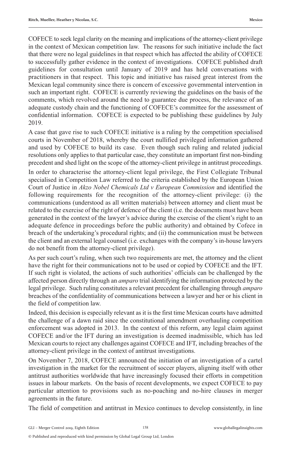COFECE to seek legal clarity on the meaning and implications of the attorney-client privilege in the context of Mexican competition law. The reasons for such initiative include the fact that there were no legal guidelines in that respect which has affected the ability of COFECE to successfully gather evidence in the context of investigations. COFECE published draft guidelines for consultation until January of 2019 and has held conversations with practitioners in that respect. This topic and initiative has raised great interest from the Mexican legal community since there is concern of excessive governmental intervention in such an important right. COFECE is currently reviewing the guidelines on the basis of the comments, which revolved around the need to guarantee due process, the relevance of an adequate custody chain and the functioning of COFECE's committee for the assessment of confidential information. COFECE is expected to be publishing these guidelines by July 2019.

A case that gave rise to such COFECE initiative is a ruling by the competition specialised courts in November of 2018, whereby the court nullified privileged information gathered and used by COFECE to build its case. Even though such ruling and related judicial resolutions only applies to that particular case, they constitute an important first non-binding precedent and shed light on the scope of the attorney-client privilege in antitrust proceedings.

In order to characterise the attorney-client legal privilege, the First Collegiate Tribunal specialised in Competition Law referred to the criteria established by the European Union Court of Justice in *Akzo Nobel Chemicals Ltd v European Commission* and identified the following requirements for the recognition of the attorney-client privilege: (i) the communications (understood as all written materials) between attorney and client must be related to the exercise of the right of defence of the client (i.e. the documents must have been generated in the context of the lawyer's advice during the exercise of the client's right to an adequate defence in proceedings before the public authority) and obtained by Cofece in breach of the undertaking's procedural rights; and (ii) the communication must be between the client and an external legal counsel (i.e. exchanges with the company's in-house lawyers do not benefit from the attorney-client privilege).

As per such court's ruling, when such two requirements are met, the attorney and the client have the right for their communications not to be used or copied by COFECE and the IFT. If such right is violated, the actions of such authorities' officials can be challenged by the affected person directly through an *amparo* trial identifying the information protected by the legal privilege. Such ruling constitutes a relevant precedent for challenging through *amparo* breaches of the confidentiality of communications between a lawyer and her or his client in the field of competition law.

Indeed, this decision is especially relevant as it is the first time Mexican courts have admitted the challenge of a dawn raid since the constitutional amendment overhauling competition enforcement was adopted in 2013. In the context of this reform, any legal claim against COFECE and/or the IFT during an investigation is deemed inadmissible, which has led Mexican courts to reject any challenges against COFECE and IFT, including breaches of the attorney-client privilege in the context of antitrust investigations.

On November 7, 2018, COFECE announced the initiation of an investigation of a cartel investigation in the market for the recruitment of soccer players, aligning itself with other antitrust authorities worldwide that have increasingly focused their efforts in competition issues in labour markets. On the basis of recent developments, we expect COFECE to pay particular attention to provisions such as no-poaching and no-hire clauses in merger agreements in the future.

The field of competition and antitrust in Mexico continues to develop consistently, in line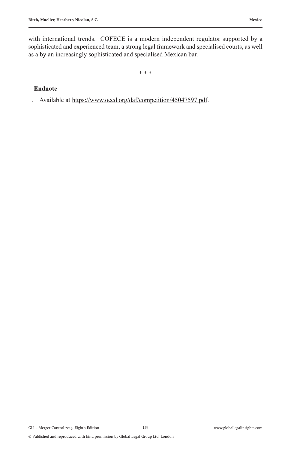with international trends. COFECE is a modern independent regulator supported by a sophisticated and experienced team, a strong legal framework and specialised courts, as well as a by an increasingly sophisticated and specialised Mexican bar.

\* \* \*

#### **Endnote**

1. Available at https://www.oecd.org/daf/competition/45047597.pdf.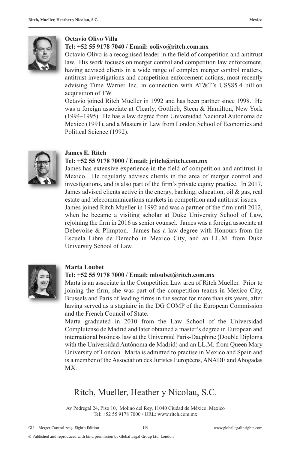

#### **Octavio Olivo Villa**

#### **Tel: +52 55 9178 7040 / Email: oolivo@ritch.com.mx**

Octavio Olivo is a recognised leader in the field of competition and antitrust law. His work focuses on merger control and competition law enforcement, having advised clients in a wide range of complex merger control matters, antitrust investigations and competition enforcement actions, most recently advising Time Warner Inc. in connection with AT&T's US\$85.4 billion acquisition of TW.

Octavio joined Ritch Mueller in 1992 and has been partner since 1998. He was a foreign associate at Clearly, Gottlieb, Steen & Hamilton, New York (1994–1995). He has a law degree from Universidad Nacional Autonoma de Mexico (1991), and a Masters in Law from London School of Economics and Political Science (1992).



#### **James E. Ritch**

#### **Tel: +52 55 9178 7000 / Email: jritch@ritch.com.mx**

James has extensive experience in the field of competition and antitrust in Mexico. He regularly advises clients in the area of merger control and investigations, and is also part of the firm's private equity practice. In 2017, James advised clients active in the energy, banking, education, oil & gas, real estate and telecommunications markets in competition and antitrust issues.

James joined Ritch Mueller in 1992 and was a partner of the firm until 2012, when he became a visiting scholar at Duke University School of Law, rejoining the firm in 2016 as senior counsel. James was a foreign associate at Debevoise & Plimpton. James has a law degree with Honours from the Escuela Libre de Derecho in Mexico City, and an LL.M. from Duke University School of Law.



#### **Marta Loubet**

#### **Tel: +52 55 9178 7000 / Email: mloubet@ritch.com.mx**

Marta is an associate in the Competition Law area of Ritch Mueller. Prior to joining the firm, she was part of the competition teams in Mexico City, Brussels and Paris of leading firms in the sector for more than six years, after having served as a stagiaire in the DG COMP of the European Commission and the French Council of State.

Marta graduated in 2010 from the Law School of the Universidad Complutense de Madrid and later obtained a master's degree in European and international business law at the Université Paris-Dauphine (Double Diploma with the Universidad Autónoma de Madrid) and an LL.M. from Queen Mary University of London. Marta is admitted to practise in Mexico and Spain and is a member of the Association des Juristes Européens, ANADE and Abogadas MX.

#### Ritch, Mueller, Heather y Nicolau, S.C.

Av Pedregal 24, Piso 10, Molino del Rey, 11040 Ciudad de México, Mexico Tel: +52 55 9178 7000 / URL: www.ritch.com.mx